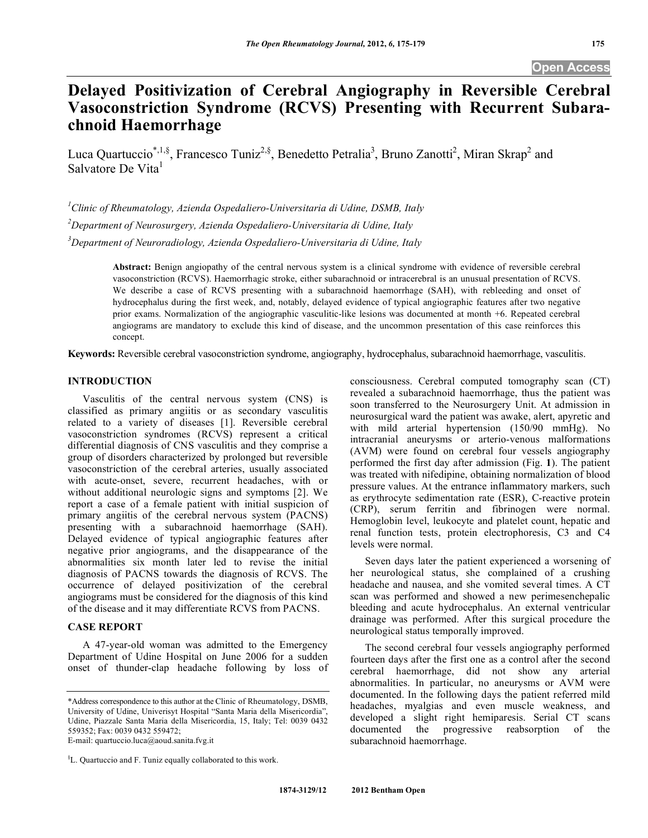# **Delayed Positivization of Cerebral Angiography in Reversible Cerebral Vasoconstriction Syndrome (RCVS) Presenting with Recurrent Subarachnoid Haemorrhage**

Luca Quartuccio<sup>\*,1,§</sup>, Francesco Tuniz<sup>2,§</sup>, Benedetto Petralia<sup>3</sup>, Bruno Zanotti<sup>2</sup>, Miran Skrap<sup>2</sup> and Salvatore De Vita

*1 Clinic of Rheumatology, Azienda Ospedaliero-Universitaria di Udine, DSMB, Italy 2 Department of Neurosurgery, Azienda Ospedaliero-Universitaria di Udine, Italy 3 Department of Neuroradiology, Azienda Ospedaliero-Universitaria di Udine, Italy* 

> **Abstract:** Benign angiopathy of the central nervous system is a clinical syndrome with evidence of reversible cerebral vasoconstriction (RCVS). Haemorrhagic stroke, either subarachnoid or intracerebral is an unusual presentation of RCVS. We describe a case of RCVS presenting with a subarachnoid haemorrhage (SAH), with rebleeding and onset of hydrocephalus during the first week, and, notably, delayed evidence of typical angiographic features after two negative prior exams. Normalization of the angiographic vasculitic-like lesions was documented at month +6. Repeated cerebral angiograms are mandatory to exclude this kind of disease, and the uncommon presentation of this case reinforces this concept.

**Keywords:** Reversible cerebral vasoconstriction syndrome, angiography, hydrocephalus, subarachnoid haemorrhage, vasculitis.

## **INTRODUCTION**

 Vasculitis of the central nervous system (CNS) is classified as primary angiitis or as secondary vasculitis related to a variety of diseases [1]. Reversible cerebral vasoconstriction syndromes (RCVS) represent a critical differential diagnosis of CNS vasculitis and they comprise a group of disorders characterized by prolonged but reversible vasoconstriction of the cerebral arteries, usually associated with acute-onset, severe, recurrent headaches, with or without additional neurologic signs and symptoms [2]. We report a case of a female patient with initial suspicion of primary angiitis of the cerebral nervous system (PACNS) presenting with a subarachnoid haemorrhage (SAH). Delayed evidence of typical angiographic features after negative prior angiograms, and the disappearance of the abnormalities six month later led to revise the initial diagnosis of PACNS towards the diagnosis of RCVS. The occurrence of delayed positivization of the cerebral angiograms must be considered for the diagnosis of this kind of the disease and it may differentiate RCVS from PACNS.

# **CASE REPORT**

 A 47-year-old woman was admitted to the Emergency Department of Udine Hospital on June 2006 for a sudden onset of thunder-clap headache following by loss of

E-mail: quartuccio.luca@aoud.sanita.fvg.it

§ L. Quartuccio and F. Tuniz equally collaborated to this work.

consciousness. Cerebral computed tomography scan (CT) revealed a subarachnoid haemorrhage, thus the patient was soon transferred to the Neurosurgery Unit. At admission in neurosurgical ward the patient was awake, alert, apyretic and with mild arterial hypertension (150/90 mmHg). No intracranial aneurysms or arterio-venous malformations (AVM) were found on cerebral four vessels angiography performed the first day after admission (Fig. **1**). The patient was treated with nifedipine, obtaining normalization of blood pressure values. At the entrance inflammatory markers, such as erythrocyte sedimentation rate (ESR), C-reactive protein (CRP), serum ferritin and fibrinogen were normal. Hemoglobin level, leukocyte and platelet count, hepatic and renal function tests, protein electrophoresis, C3 and C4 levels were normal.

 Seven days later the patient experienced a worsening of her neurological status, she complained of a crushing headache and nausea, and she vomited several times. A CT scan was performed and showed a new perimesenchepalic bleeding and acute hydrocephalus. An external ventricular drainage was performed. After this surgical procedure the neurological status temporally improved.

 The second cerebral four vessels angiography performed fourteen days after the first one as a control after the second cerebral haemorrhage, did not show any arterial abnormalities. In particular, no aneurysms or AVM were documented. In the following days the patient referred mild headaches, myalgias and even muscle weakness, and developed a slight right hemiparesis. Serial CT scans documented the progressive reabsorption of the subarachnoid haemorrhage.

<sup>\*</sup>Address correspondence to this author at the Clinic of Rheumatology, DSMB, University of Udine, Univerisyt Hospital "Santa Maria della Misericordia", Udine, Piazzale Santa Maria della Misericordia, 15, Italy; Tel: 0039 0432 559352; Fax: 0039 0432 559472;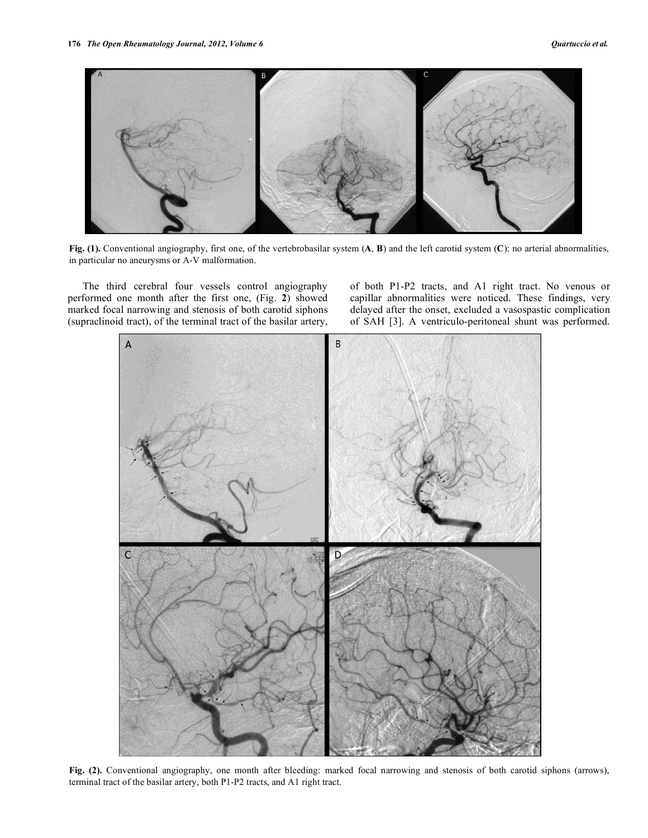

**Fig. (1).** Conventional angiography, first one, of the vertebrobasilar system (**A**, **B**) and the left carotid system (**C**): no arterial abnormalities, in particular no aneurysms or A-V malformation.

 The third cerebral four vessels control angiography performed one month after the first one, (Fig. **2**) showed marked focal narrowing and stenosis of both carotid siphons (supraclinoid tract), of the terminal tract of the basilar artery, of both P1-P2 tracts, and A1 right tract. No venous or capillar abnormalities were noticed. These findings, very delayed after the onset, excluded a vasospastic complication of SAH [3]. A ventriculo-peritoneal shunt was performed.



**Fig. (2).** Conventional angiography, one month after bleeding: marked focal narrowing and stenosis of both carotid siphons (arrows), terminal tract of the basilar artery, both P1-P2 tracts, and A1 right tract.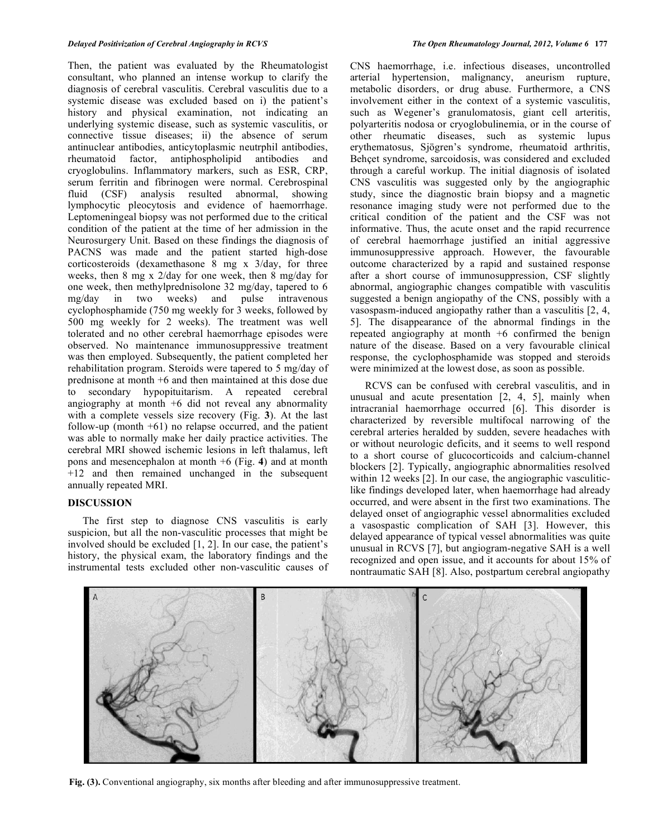Then, the patient was evaluated by the Rheumatologist consultant, who planned an intense workup to clarify the diagnosis of cerebral vasculitis. Cerebral vasculitis due to a systemic disease was excluded based on i) the patient's history and physical examination, not indicating an underlying systemic disease, such as systemic vasculitis, or connective tissue diseases; ii) the absence of serum antinuclear antibodies, anticytoplasmic neutrphil antibodies, rheumatoid factor, antiphospholipid antibodies and cryoglobulins. Inflammatory markers, such as ESR, CRP, serum ferritin and fibrinogen were normal. Cerebrospinal fluid (CSF) analysis resulted abnormal, showing lymphocytic pleocytosis and evidence of haemorrhage. Leptomeningeal biopsy was not performed due to the critical condition of the patient at the time of her admission in the Neurosurgery Unit. Based on these findings the diagnosis of PACNS was made and the patient started high-dose corticosteroids (dexamethasone 8 mg x 3/day, for three weeks, then 8 mg x 2/day for one week, then 8 mg/day for one week, then methylprednisolone 32 mg/day, tapered to 6 mg/day in two weeks) and pulse intravenous cyclophosphamide (750 mg weekly for 3 weeks, followed by 500 mg weekly for 2 weeks). The treatment was well tolerated and no other cerebral haemorrhage episodes were observed. No maintenance immunosuppressive treatment was then employed. Subsequently, the patient completed her rehabilitation program. Steroids were tapered to 5 mg/day of prednisone at month +6 and then maintained at this dose due to secondary hypopituitarism. A repeated cerebral angiography at month +6 did not reveal any abnormality with a complete vessels size recovery (Fig. **3**). At the last follow-up (month  $+61$ ) no relapse occurred, and the patient was able to normally make her daily practice activities. The cerebral MRI showed ischemic lesions in left thalamus, left pons and mesencephalon at month +6 (Fig. **4**) and at month +12 and then remained unchanged in the subsequent annually repeated MRI.

### **DISCUSSION**

 The first step to diagnose CNS vasculitis is early suspicion, but all the non-vasculitic processes that might be involved should be excluded [1, 2]. In our case, the patient's history, the physical exam, the laboratory findings and the instrumental tests excluded other non-vasculitic causes of CNS haemorrhage, i.e. infectious diseases, uncontrolled arterial hypertension, malignancy, aneurism rupture, metabolic disorders, or drug abuse. Furthermore, a CNS involvement either in the context of a systemic vasculitis, such as Wegener's granulomatosis, giant cell arteritis, polyarteritis nodosa or cryoglobulinemia, or in the course of other rheumatic diseases, such as systemic lupus erythematosus, Sjögren's syndrome, rheumatoid arthritis, Behcet syndrome, sarcoidosis, was considered and excluded through a careful workup. The initial diagnosis of isolated CNS vasculitis was suggested only by the angiographic study, since the diagnostic brain biopsy and a magnetic resonance imaging study were not performed due to the critical condition of the patient and the CSF was not informative. Thus, the acute onset and the rapid recurrence of cerebral haemorrhage justified an initial aggressive immunosuppressive approach. However, the favourable outcome characterized by a rapid and sustained response after a short course of immunosuppression, CSF slightly abnormal, angiographic changes compatible with vasculitis suggested a benign angiopathy of the CNS, possibly with a vasospasm-induced angiopathy rather than a vasculitis [2, 4, 5]. The disappearance of the abnormal findings in the repeated angiography at month +6 confirmed the benign nature of the disease. Based on a very favourable clinical response, the cyclophosphamide was stopped and steroids were minimized at the lowest dose, as soon as possible.

 RCVS can be confused with cerebral vasculitis, and in unusual and acute presentation [2, 4, 5], mainly when intracranial haemorrhage occurred [6]. This disorder is characterized by reversible multifocal narrowing of the cerebral arteries heralded by sudden, severe headaches with or without neurologic deficits, and it seems to well respond to a short course of glucocorticoids and calcium-channel blockers [2]. Typically, angiographic abnormalities resolved within 12 weeks [2]. In our case, the angiographic vasculiticlike findings developed later, when haemorrhage had already occurred, and were absent in the first two examinations. The delayed onset of angiographic vessel abnormalities excluded a vasospastic complication of SAH [3]. However, this delayed appearance of typical vessel abnormalities was quite unusual in RCVS [7], but angiogram-negative SAH is a well recognized and open issue, and it accounts for about 15% of nontraumatic SAH [8]. Also, postpartum cerebral angiopathy



**Fig. (3).** Conventional angiography, six months after bleeding and after immunosuppressive treatment.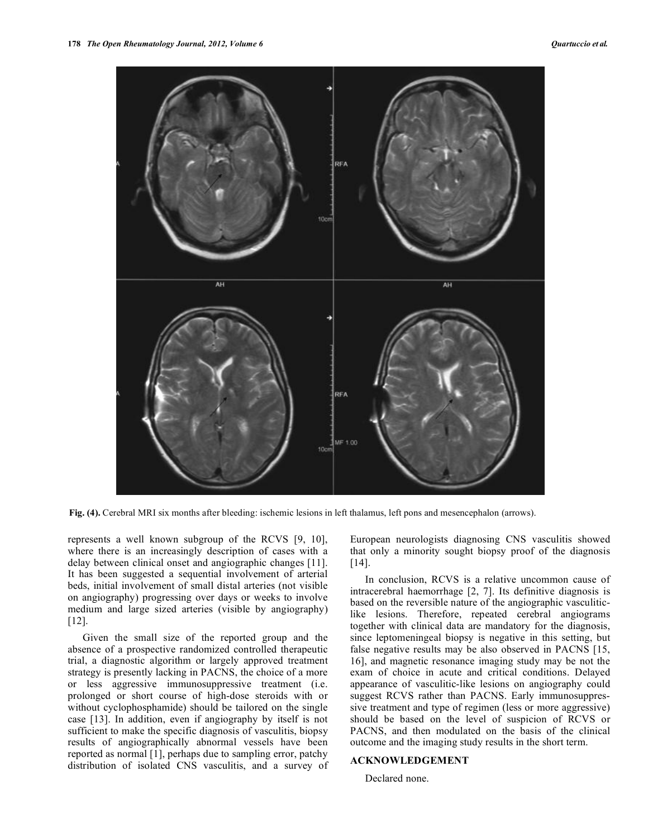

**Fig. (4).** Cerebral MRI six months after bleeding: ischemic lesions in left thalamus, left pons and mesencephalon (arrows).

represents a well known subgroup of the RCVS [9, 10], where there is an increasingly description of cases with a delay between clinical onset and angiographic changes [11]. It has been suggested a sequential involvement of arterial beds, initial involvement of small distal arteries (not visible on angiography) progressing over days or weeks to involve medium and large sized arteries (visible by angiography) [12].

 Given the small size of the reported group and the absence of a prospective randomized controlled therapeutic trial, a diagnostic algorithm or largely approved treatment strategy is presently lacking in PACNS, the choice of a more or less aggressive immunosuppressive treatment (i.e. prolonged or short course of high-dose steroids with or without cyclophosphamide) should be tailored on the single case [13]. In addition, even if angiography by itself is not sufficient to make the specific diagnosis of vasculitis, biopsy results of angiographically abnormal vessels have been reported as normal [1], perhaps due to sampling error, patchy distribution of isolated CNS vasculitis, and a survey of

European neurologists diagnosing CNS vasculitis showed that only a minority sought biopsy proof of the diagnosis [14].

 In conclusion, RCVS is a relative uncommon cause of intracerebral haemorrhage [2, 7]. Its definitive diagnosis is based on the reversible nature of the angiographic vasculiticlike lesions. Therefore, repeated cerebral angiograms together with clinical data are mandatory for the diagnosis, since leptomeningeal biopsy is negative in this setting, but false negative results may be also observed in PACNS [15, 16], and magnetic resonance imaging study may be not the exam of choice in acute and critical conditions. Delayed appearance of vasculitic-like lesions on angiography could suggest RCVS rather than PACNS. Early immunosuppressive treatment and type of regimen (less or more aggressive) should be based on the level of suspicion of RCVS or PACNS, and then modulated on the basis of the clinical outcome and the imaging study results in the short term.

## **ACKNOWLEDGEMENT**

Declared none.